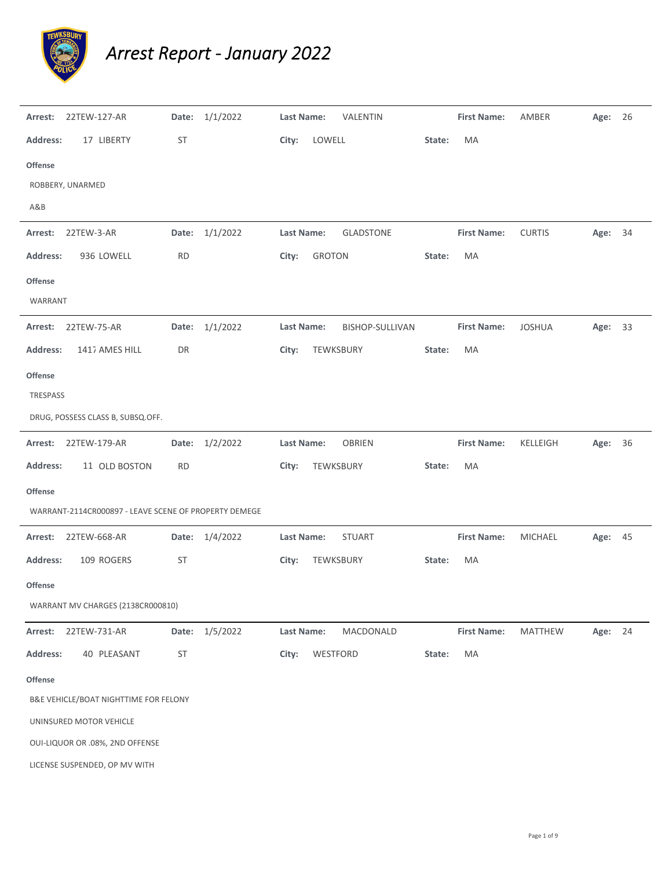

## *Arrest Report ‐ January 2022*

| Arrest:          | 22TEW-127-AR                                          |           | Date: 1/1/2022 | Last Name:        |               | VALENTIN         |        | <b>First Name:</b> | AMBER         | Age: 26 |  |
|------------------|-------------------------------------------------------|-----------|----------------|-------------------|---------------|------------------|--------|--------------------|---------------|---------|--|
| <b>Address:</b>  | 17 LIBERTY                                            | <b>ST</b> |                | City:             | LOWELL        |                  | State: | MA                 |               |         |  |
| Offense          |                                                       |           |                |                   |               |                  |        |                    |               |         |  |
| ROBBERY, UNARMED |                                                       |           |                |                   |               |                  |        |                    |               |         |  |
| A&B              |                                                       |           |                |                   |               |                  |        |                    |               |         |  |
| Arrest:          | 22TEW-3-AR                                            |           | Date: 1/1/2022 | Last Name:        |               | <b>GLADSTONE</b> |        | <b>First Name:</b> | <b>CURTIS</b> | Age: 34 |  |
| Address:         | 936 LOWELL                                            | <b>RD</b> |                | City:             | <b>GROTON</b> |                  | State: | MA                 |               |         |  |
| <b>Offense</b>   |                                                       |           |                |                   |               |                  |        |                    |               |         |  |
| WARRANT          |                                                       |           |                |                   |               |                  |        |                    |               |         |  |
|                  | Arrest: 22TEW-75-AR                                   |           | Date: 1/1/2022 | Last Name:        |               | BISHOP-SULLIVAN  |        | <b>First Name:</b> | <b>JOSHUA</b> | Age: 33 |  |
| <b>Address:</b>  | 1417 AMES HILL                                        | DR        |                | City:             |               | TEWKSBURY        | State: | MA                 |               |         |  |
| Offense          |                                                       |           |                |                   |               |                  |        |                    |               |         |  |
| TRESPASS         |                                                       |           |                |                   |               |                  |        |                    |               |         |  |
|                  | DRUG, POSSESS CLASS B, SUBSQ.OFF.                     |           |                |                   |               |                  |        |                    |               |         |  |
|                  | Arrest: 22TEW-179-AR                                  |           | Date: 1/2/2022 | Last Name:        |               | OBRIEN           |        | <b>First Name:</b> | KELLEIGH      | Age: 36 |  |
| <b>Address:</b>  | 11 OLD BOSTON                                         | <b>RD</b> |                | City:             |               | TEWKSBURY        | State: | MA                 |               |         |  |
| Offense          |                                                       |           |                |                   |               |                  |        |                    |               |         |  |
|                  | WARRANT-2114CR000897 - LEAVE SCENE OF PROPERTY DEMEGE |           |                |                   |               |                  |        |                    |               |         |  |
| Arrest:          | 22TEW-668-AR                                          |           | Date: 1/4/2022 | <b>Last Name:</b> |               | <b>STUART</b>    |        | <b>First Name:</b> | MICHAEL       | Age: 45 |  |
| Address:         | 109 ROGERS                                            | ST        |                | City:             |               | TEWKSBURY        | State: | MA                 |               |         |  |
| <b>Offense</b>   |                                                       |           |                |                   |               |                  |        |                    |               |         |  |
|                  | WARRANT MV CHARGES (2138CR000810)                     |           |                |                   |               |                  |        |                    |               |         |  |
| Arrest:          | 22TEW-731-AR                                          | Date:     | 1/5/2022       | Last Name:        |               | MACDONALD        |        | <b>First Name:</b> | MATTHEW       | Age: 24 |  |
| <b>Address:</b>  | 40 PLEASANT                                           | <b>ST</b> |                | City:             | WESTFORD      |                  | State: | MA                 |               |         |  |
| <b>Offense</b>   |                                                       |           |                |                   |               |                  |        |                    |               |         |  |
|                  | B&E VEHICLE/BOAT NIGHTTIME FOR FELONY                 |           |                |                   |               |                  |        |                    |               |         |  |
|                  | UNINSURED MOTOR VEHICLE                               |           |                |                   |               |                  |        |                    |               |         |  |
|                  | OUI-LIQUOR OR .08%, 2ND OFFENSE                       |           |                |                   |               |                  |        |                    |               |         |  |
|                  | LICENSE SUSPENDED, OP MV WITH                         |           |                |                   |               |                  |        |                    |               |         |  |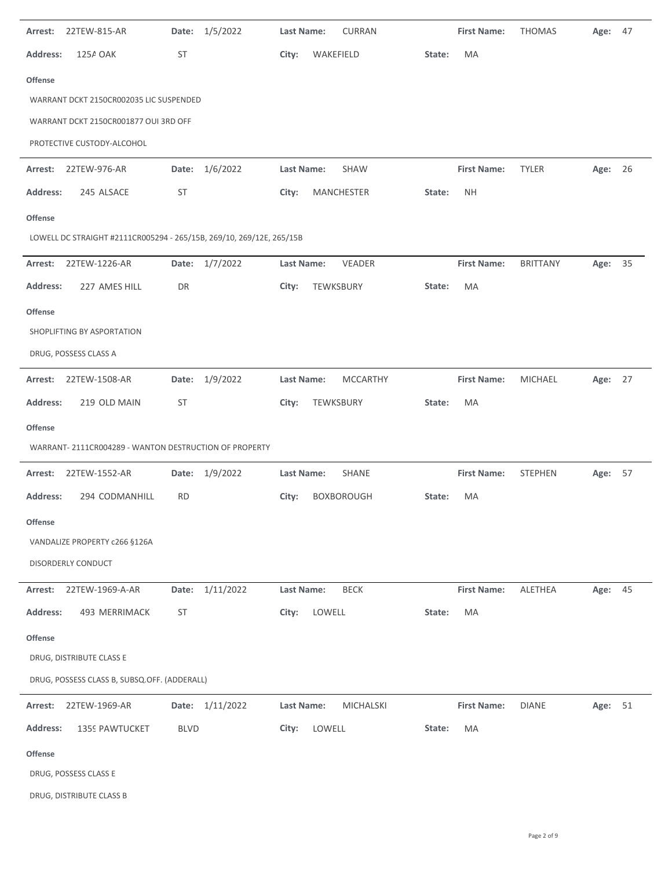| Arrest:         | 22TEW-815-AR                                                         | Date:     | 1/5/2022        | Last Name:        |            | CURRAN            |        | <b>First Name:</b> | <b>THOMAS</b>   | Age:    | 47 |
|-----------------|----------------------------------------------------------------------|-----------|-----------------|-------------------|------------|-------------------|--------|--------------------|-----------------|---------|----|
| <b>Address:</b> | 125A OAK                                                             | ST        |                 | City:             | WAKEFIELD  |                   | State: | MA                 |                 |         |    |
| <b>Offense</b>  |                                                                      |           |                 |                   |            |                   |        |                    |                 |         |    |
|                 | WARRANT DCKT 2150CR002035 LIC SUSPENDED                              |           |                 |                   |            |                   |        |                    |                 |         |    |
|                 | WARRANT DCKT 2150CR001877 OUI 3RD OFF                                |           |                 |                   |            |                   |        |                    |                 |         |    |
|                 | PROTECTIVE CUSTODY-ALCOHOL                                           |           |                 |                   |            |                   |        |                    |                 |         |    |
| Arrest:         | 22TEW-976-AR                                                         | Date:     | 1/6/2022        | Last Name:        |            | <b>SHAW</b>       |        | <b>First Name:</b> | <b>TYLER</b>    | Age: 26 |    |
| <b>Address:</b> | 245 ALSACE                                                           | ST        |                 | City:             | MANCHESTER |                   | State: | <b>NH</b>          |                 |         |    |
| <b>Offense</b>  |                                                                      |           |                 |                   |            |                   |        |                    |                 |         |    |
|                 | LOWELL DC STRAIGHT #2111CR005294 - 265/15B, 269/10, 269/12E, 265/15B |           |                 |                   |            |                   |        |                    |                 |         |    |
| Arrest:         | 22TEW-1226-AR                                                        |           | Date: 1/7/2022  | <b>Last Name:</b> |            | VEADER            |        | <b>First Name:</b> | <b>BRITTANY</b> | Age:    | 35 |
| <b>Address:</b> | 227 AMES HILL                                                        | DR        |                 | City:             | TEWKSBURY  |                   | State: | MA                 |                 |         |    |
| <b>Offense</b>  |                                                                      |           |                 |                   |            |                   |        |                    |                 |         |    |
|                 | SHOPLIFTING BY ASPORTATION                                           |           |                 |                   |            |                   |        |                    |                 |         |    |
|                 | DRUG, POSSESS CLASS A                                                |           |                 |                   |            |                   |        |                    |                 |         |    |
| Arrest:         | 22TEW-1508-AR                                                        |           | Date: 1/9/2022  | Last Name:        |            | <b>MCCARTHY</b>   |        | <b>First Name:</b> | MICHAEL         | Age: 27 |    |
| <b>Address:</b> | 219 OLD MAIN                                                         | ST        |                 | City:             | TEWKSBURY  |                   | State: | MA                 |                 |         |    |
| <b>Offense</b>  |                                                                      |           |                 |                   |            |                   |        |                    |                 |         |    |
|                 | WARRANT- 2111CR004289 - WANTON DESTRUCTION OF PROPERTY               |           |                 |                   |            |                   |        |                    |                 |         |    |
| Arrest:         | 22TEW-1552-AR                                                        | Date:     | 1/9/2022        | <b>Last Name:</b> |            | SHANE             |        | <b>First Name:</b> | <b>STEPHEN</b>  | Age:    | 57 |
| <b>Address:</b> | 294 CODMANHILL                                                       | <b>RD</b> |                 | City:             |            | <b>BOXBOROUGH</b> | State: | MA                 |                 |         |    |
| <b>Offense</b>  |                                                                      |           |                 |                   |            |                   |        |                    |                 |         |    |
|                 | VANDALIZE PROPERTY c266 §126A                                        |           |                 |                   |            |                   |        |                    |                 |         |    |
|                 | DISORDERLY CONDUCT                                                   |           |                 |                   |            |                   |        |                    |                 |         |    |
| Arrest:         | 22TEW-1969-A-AR                                                      |           | Date: 1/11/2022 | Last Name:        |            | <b>BECK</b>       |        | <b>First Name:</b> | ALETHEA         | Age: 45 |    |
| <b>Address:</b> | 493 MERRIMACK                                                        | ST        |                 | City:             | LOWELL     |                   | State: | MA                 |                 |         |    |
| <b>Offense</b>  |                                                                      |           |                 |                   |            |                   |        |                    |                 |         |    |
|                 | DRUG, DISTRIBUTE CLASS E                                             |           |                 |                   |            |                   |        |                    |                 |         |    |
|                 | DRUG, POSSESS CLASS B, SUBSQ.OFF. (ADDERALL)                         |           |                 |                   |            |                   |        |                    |                 |         |    |
| Arrest:         | 22TEW-1969-AR                                                        |           | Date: 1/11/2022 | Last Name:        |            | MICHALSKI         |        | <b>First Name:</b> | <b>DIANE</b>    | Age: 51 |    |
| <b>Address:</b> | 1359 PAWTUCKET                                                       | BLVD      |                 | City:             | LOWELL     |                   | State: | MA                 |                 |         |    |
| <b>Offense</b>  |                                                                      |           |                 |                   |            |                   |        |                    |                 |         |    |
|                 | DRUG, POSSESS CLASS E                                                |           |                 |                   |            |                   |        |                    |                 |         |    |
|                 | DRUG, DISTRIBUTE CLASS B                                             |           |                 |                   |            |                   |        |                    |                 |         |    |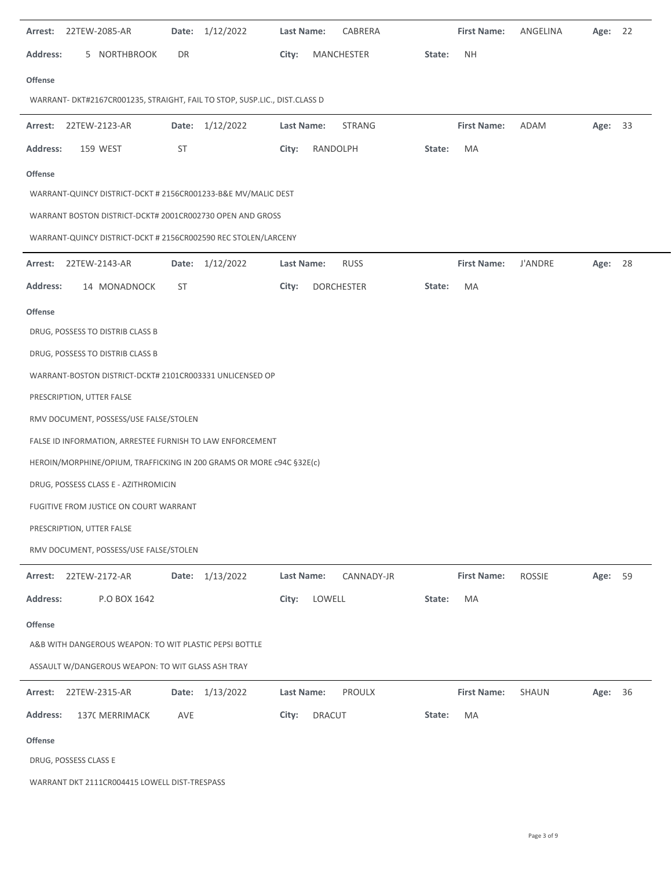|                 | <b>Arrest: 22TEW-2085-AR</b>                                               | Date: | 1/12/2022       | Last Name:        |          | CABRERA           |        | <b>First Name:</b> | ANGELINA       | Age:    | 22 |
|-----------------|----------------------------------------------------------------------------|-------|-----------------|-------------------|----------|-------------------|--------|--------------------|----------------|---------|----|
| <b>Address:</b> | 5 NORTHBROOK                                                               | DR    |                 | City:             |          | MANCHESTER        | State: | <b>NH</b>          |                |         |    |
| <b>Offense</b>  |                                                                            |       |                 |                   |          |                   |        |                    |                |         |    |
|                 | WARRANT- DKT#2167CR001235, STRAIGHT, FAIL TO STOP, SUSP.LIC., DIST.CLASS D |       |                 |                   |          |                   |        |                    |                |         |    |
|                 | <b>Arrest: 22TEW-2123-AR</b>                                               |       | Date: 1/12/2022 | Last Name:        |          | STRANG            |        | <b>First Name:</b> | ADAM           | Age: 33 |    |
| <b>Address:</b> | 159 WEST                                                                   | ST    |                 | City:             | RANDOLPH |                   | State: | MA                 |                |         |    |
| <b>Offense</b>  |                                                                            |       |                 |                   |          |                   |        |                    |                |         |    |
|                 | WARRANT-QUINCY DISTRICT-DCKT # 2156CR001233-B&E MV/MALIC DEST              |       |                 |                   |          |                   |        |                    |                |         |    |
|                 | WARRANT BOSTON DISTRICT-DCKT# 2001CR002730 OPEN AND GROSS                  |       |                 |                   |          |                   |        |                    |                |         |    |
|                 | WARRANT-QUINCY DISTRICT-DCKT # 2156CR002590 REC STOLEN/LARCENY             |       |                 |                   |          |                   |        |                    |                |         |    |
| Arrest:         | 22TEW-2143-AR                                                              | Date: | 1/12/2022       | Last Name:        |          | <b>RUSS</b>       |        | <b>First Name:</b> | <b>J'ANDRE</b> | Age:    | 28 |
| <b>Address:</b> | 14 MONADNOCK                                                               | ST    |                 | City:             |          | <b>DORCHESTER</b> | State: | MA                 |                |         |    |
| <b>Offense</b>  |                                                                            |       |                 |                   |          |                   |        |                    |                |         |    |
|                 | DRUG, POSSESS TO DISTRIB CLASS B                                           |       |                 |                   |          |                   |        |                    |                |         |    |
|                 | DRUG, POSSESS TO DISTRIB CLASS B                                           |       |                 |                   |          |                   |        |                    |                |         |    |
|                 | WARRANT-BOSTON DISTRICT-DCKT# 2101CR003331 UNLICENSED OP                   |       |                 |                   |          |                   |        |                    |                |         |    |
|                 | PRESCRIPTION, UTTER FALSE                                                  |       |                 |                   |          |                   |        |                    |                |         |    |
|                 | RMV DOCUMENT, POSSESS/USE FALSE/STOLEN                                     |       |                 |                   |          |                   |        |                    |                |         |    |
|                 | FALSE ID INFORMATION, ARRESTEE FURNISH TO LAW ENFORCEMENT                  |       |                 |                   |          |                   |        |                    |                |         |    |
|                 | HEROIN/MORPHINE/OPIUM, TRAFFICKING IN 200 GRAMS OR MORE c94C §32E(c)       |       |                 |                   |          |                   |        |                    |                |         |    |
|                 | DRUG, POSSESS CLASS E - AZITHROMICIN                                       |       |                 |                   |          |                   |        |                    |                |         |    |
|                 | FUGITIVE FROM JUSTICE ON COURT WARRANT                                     |       |                 |                   |          |                   |        |                    |                |         |    |
|                 | PRESCRIPTION, UTTER FALSE                                                  |       |                 |                   |          |                   |        |                    |                |         |    |
|                 | RMV DOCUMENT, POSSESS/USE FALSE/STOLEN                                     |       |                 |                   |          |                   |        |                    |                |         |    |
| Arrest:         | 22TEW-2172-AR                                                              |       | Date: 1/13/2022 | <b>Last Name:</b> |          | CANNADY-JR        |        | <b>First Name:</b> | ROSSIE         | Age: 59 |    |
| <b>Address:</b> | P.O BOX 1642                                                               |       |                 | City:             | LOWELL   |                   | State: | MA                 |                |         |    |
| <b>Offense</b>  |                                                                            |       |                 |                   |          |                   |        |                    |                |         |    |
|                 | A&B WITH DANGEROUS WEAPON: TO WIT PLASTIC PEPSI BOTTLE                     |       |                 |                   |          |                   |        |                    |                |         |    |
|                 | ASSAULT W/DANGEROUS WEAPON: TO WIT GLASS ASH TRAY                          |       |                 |                   |          |                   |        |                    |                |         |    |
| Arrest:         | 22TEW-2315-AR                                                              |       | Date: 1/13/2022 | Last Name:        |          | <b>PROULX</b>     |        | <b>First Name:</b> | SHAUN          | Age:    | 36 |
| <b>Address:</b> | 1370 MERRIMACK                                                             | AVE   |                 | City:             | DRACUT   |                   | State: | MA                 |                |         |    |
| <b>Offense</b>  |                                                                            |       |                 |                   |          |                   |        |                    |                |         |    |
|                 | DRUG, POSSESS CLASS E                                                      |       |                 |                   |          |                   |        |                    |                |         |    |

WARRANT DKT 2111CR004415 LOWELL DIST-TRESPASS

 $\ddot{\phantom{a}}$ 

 $\sim$ 

 $\overline{a}$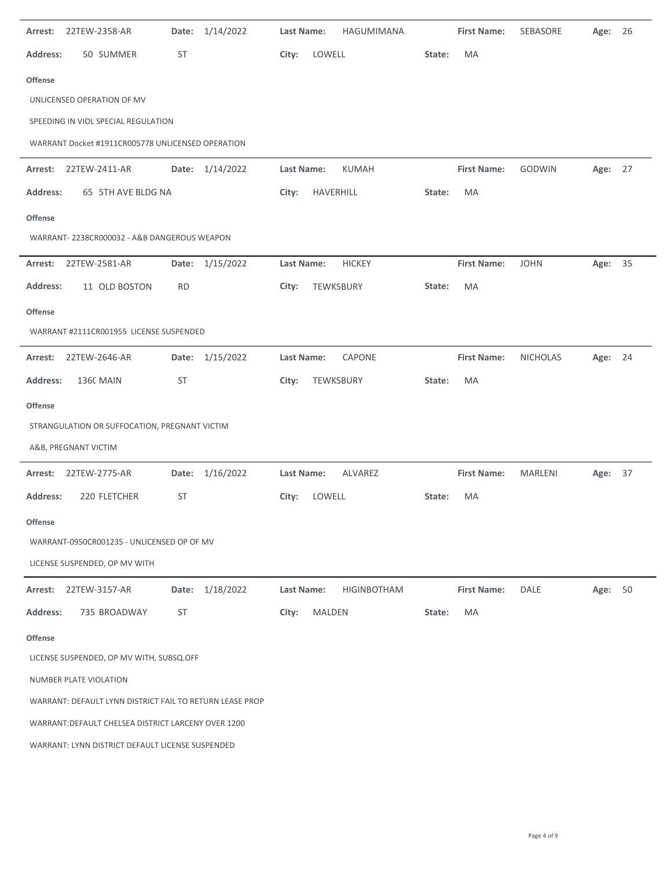| Arrest:         | 22TEW-2358-AR                                            | Date:     | 1/14/2022 | <b>Last Name:</b> |           | HAGUMIMANA         |        | <b>First Name:</b> | SEBASORE        | Age:    | 26 |
|-----------------|----------------------------------------------------------|-----------|-----------|-------------------|-----------|--------------------|--------|--------------------|-----------------|---------|----|
| <b>Address:</b> | 50 SUMMER                                                | ST        |           | City:             | LOWELL    |                    | State: | MA                 |                 |         |    |
| <b>Offense</b>  |                                                          |           |           |                   |           |                    |        |                    |                 |         |    |
|                 | UNLICENSED OPERATION OF MV                               |           |           |                   |           |                    |        |                    |                 |         |    |
|                 | SPEEDING IN VIOL SPECIAL REGULATION                      |           |           |                   |           |                    |        |                    |                 |         |    |
|                 | WARRANT Docket #1911CR005778 UNLICENSED OPERATION        |           |           |                   |           |                    |        |                    |                 |         |    |
| Arrest:         | 22TEW-2411-AR                                            | Date:     | 1/14/2022 | <b>Last Name:</b> |           | <b>KUMAH</b>       |        | <b>First Name:</b> | <b>GODWIN</b>   | Age: 27 |    |
| <b>Address:</b> | 65 5TH AVE BLDG NA                                       |           |           | City:             | HAVERHILL |                    | State: | MA                 |                 |         |    |
| <b>Offense</b>  |                                                          |           |           |                   |           |                    |        |                    |                 |         |    |
|                 | WARRANT-2238CR000032 - A&B DANGEROUS WEAPON              |           |           |                   |           |                    |        |                    |                 |         |    |
| Arrest:         | 22TEW-2581-AR                                            | Date:     | 1/15/2022 | Last Name:        |           | <b>HICKEY</b>      |        | <b>First Name:</b> | <b>JOHN</b>     | Age:    | 35 |
| <b>Address:</b> | 11 OLD BOSTON                                            | <b>RD</b> |           | City:             | TEWKSBURY |                    | State: | MA                 |                 |         |    |
| <b>Offense</b>  |                                                          |           |           |                   |           |                    |        |                    |                 |         |    |
|                 | WARRANT #2111CR001955 LICENSE SUSPENDED                  |           |           |                   |           |                    |        |                    |                 |         |    |
| Arrest:         | 22TEW-2646-AR                                            | Date:     | 1/15/2022 | Last Name:        |           | <b>CAPONE</b>      |        | <b>First Name:</b> | <b>NICHOLAS</b> | Age:    | 24 |
| Address:        | <b>1360 MAIN</b>                                         | <b>ST</b> |           | City:             |           | TEWKSBURY          | State: | MA                 |                 |         |    |
| <b>Offense</b>  |                                                          |           |           |                   |           |                    |        |                    |                 |         |    |
|                 | STRANGULATION OR SUFFOCATION, PREGNANT VICTIM            |           |           |                   |           |                    |        |                    |                 |         |    |
|                 | A&B, PREGNANT VICTIM                                     |           |           |                   |           |                    |        |                    |                 |         |    |
| Arrest:         | 22TEW-2775-AR                                            | Date:     | 1/16/2022 | Last Name:        |           | ALVAREZ            |        | <b>First Name:</b> | MARLENI         | Age: 37 |    |
| Address:        | 220 FLETCHER                                             | ST        |           | City:             | LOWELL    |                    | State: | MA                 |                 |         |    |
| <b>Offense</b>  |                                                          |           |           |                   |           |                    |        |                    |                 |         |    |
|                 | WARRANT-0950CR001235 - UNLICENSED OP OF MV               |           |           |                   |           |                    |        |                    |                 |         |    |
|                 | LICENSE SUSPENDED, OP MV WITH                            |           |           |                   |           |                    |        |                    |                 |         |    |
| Arrest:         | 22TEW-3157-AR                                            | Date:     | 1/18/2022 | Last Name:        |           | <b>HIGINBOTHAM</b> |        | <b>First Name:</b> | DALE            | Age: 50 |    |
| <b>Address:</b> | 735 BROADWAY                                             | <b>ST</b> |           | City:             | MALDEN    |                    | State: | MA                 |                 |         |    |
| <b>Offense</b>  |                                                          |           |           |                   |           |                    |        |                    |                 |         |    |
|                 | LICENSE SUSPENDED, OP MV WITH, SUBSQ.OFF                 |           |           |                   |           |                    |        |                    |                 |         |    |
|                 | NUMBER PLATE VIOLATION                                   |           |           |                   |           |                    |        |                    |                 |         |    |
|                 | WARRANT: DEFAULT LYNN DISTRICT FAIL TO RETURN LEASE PROP |           |           |                   |           |                    |        |                    |                 |         |    |
|                 | WARRANT: DEFAULT CHELSEA DISTRICT LARCENY OVER 1200      |           |           |                   |           |                    |        |                    |                 |         |    |
|                 | WARRANT: LYNN DISTRICT DEFAULT LICENSE SUSPENDED         |           |           |                   |           |                    |        |                    |                 |         |    |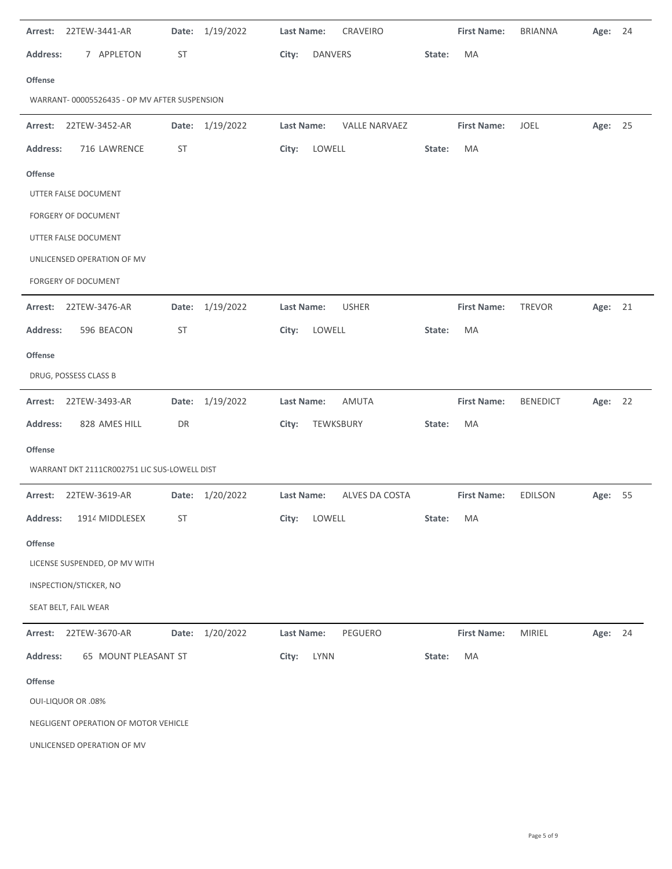| Arrest:         | 22TEW-3441-AR                                | Date:     | 1/19/2022       | Last Name:<br>CRAVEIRO             |        | <b>First Name:</b> | <b>BRIANNA</b>  | Age:    | - 24 |
|-----------------|----------------------------------------------|-----------|-----------------|------------------------------------|--------|--------------------|-----------------|---------|------|
| <b>Address:</b> | 7 APPLETON                                   | ST        |                 | City:<br>DANVERS                   | State: | MA                 |                 |         |      |
| <b>Offense</b>  |                                              |           |                 |                                    |        |                    |                 |         |      |
|                 | WARRANT-00005526435 - OP MV AFTER SUSPENSION |           |                 |                                    |        |                    |                 |         |      |
| Arrest:         | 22TEW-3452-AR                                |           | Date: 1/19/2022 | Last Name:<br><b>VALLE NARVAEZ</b> |        | <b>First Name:</b> | JOEL            | Age: 25 |      |
| <b>Address:</b> | 716 LAWRENCE                                 | ST        |                 | LOWELL<br>City:                    | State: | MA                 |                 |         |      |
| <b>Offense</b>  |                                              |           |                 |                                    |        |                    |                 |         |      |
|                 | UTTER FALSE DOCUMENT                         |           |                 |                                    |        |                    |                 |         |      |
|                 | FORGERY OF DOCUMENT                          |           |                 |                                    |        |                    |                 |         |      |
|                 | UTTER FALSE DOCUMENT                         |           |                 |                                    |        |                    |                 |         |      |
|                 | UNLICENSED OPERATION OF MV                   |           |                 |                                    |        |                    |                 |         |      |
|                 | FORGERY OF DOCUMENT                          |           |                 |                                    |        |                    |                 |         |      |
| Arrest:         | 22TEW-3476-AR                                | Date:     | 1/19/2022       | Last Name:<br><b>USHER</b>         |        | <b>First Name:</b> | <b>TREVOR</b>   | Age:    | 21   |
| <b>Address:</b> | 596 BEACON                                   | ST        |                 | LOWELL<br>City:                    | State: | MA                 |                 |         |      |
| <b>Offense</b>  |                                              |           |                 |                                    |        |                    |                 |         |      |
|                 | DRUG, POSSESS CLASS B                        |           |                 |                                    |        |                    |                 |         |      |
|                 | Arrest: 22TEW-3493-AR                        |           | Date: 1/19/2022 | AMUTA<br>Last Name:                |        | <b>First Name:</b> | <b>BENEDICT</b> | Age: 22 |      |
| <b>Address:</b> | 828 AMES HILL                                | DR        |                 | City:<br>TEWKSBURY                 | State: | MA                 |                 |         |      |
| <b>Offense</b>  |                                              |           |                 |                                    |        |                    |                 |         |      |
|                 |                                              |           |                 |                                    |        |                    |                 |         |      |
|                 | WARRANT DKT 2111CR002751 LIC SUS-LOWELL DIST |           |                 |                                    |        |                    |                 |         |      |
| Arrest:         | 22TEW-3619-AR                                |           | Date: 1/20/2022 | Last Name:<br>ALVES DA COSTA       |        | <b>First Name:</b> | <b>EDILSON</b>  | Age:    | 55   |
| <b>Address:</b> | 1914 MIDDLESEX                               | <b>ST</b> |                 | City:<br>LOWELL                    | State: | MA                 |                 |         |      |
| <b>Offense</b>  |                                              |           |                 |                                    |        |                    |                 |         |      |
|                 | LICENSE SUSPENDED, OP MV WITH                |           |                 |                                    |        |                    |                 |         |      |
|                 | INSPECTION/STICKER, NO                       |           |                 |                                    |        |                    |                 |         |      |
|                 | SEAT BELT, FAIL WEAR                         |           |                 |                                    |        |                    |                 |         |      |
| Arrest:         | 22TEW-3670-AR                                |           | Date: 1/20/2022 | <b>Last Name:</b><br>PEGUERO       |        | <b>First Name:</b> | MIRIEL          | Age: 24 |      |
| <b>Address:</b> | 65 MOUNT PLEASANT ST                         |           |                 | City:<br><b>LYNN</b>               | State: | MA                 |                 |         |      |
| <b>Offense</b>  |                                              |           |                 |                                    |        |                    |                 |         |      |
|                 | <b>OUI-LIQUOR OR .08%</b>                    |           |                 |                                    |        |                    |                 |         |      |
|                 | NEGLIGENT OPERATION OF MOTOR VEHICLE         |           |                 |                                    |        |                    |                 |         |      |

 $\ddot{\phantom{a}}$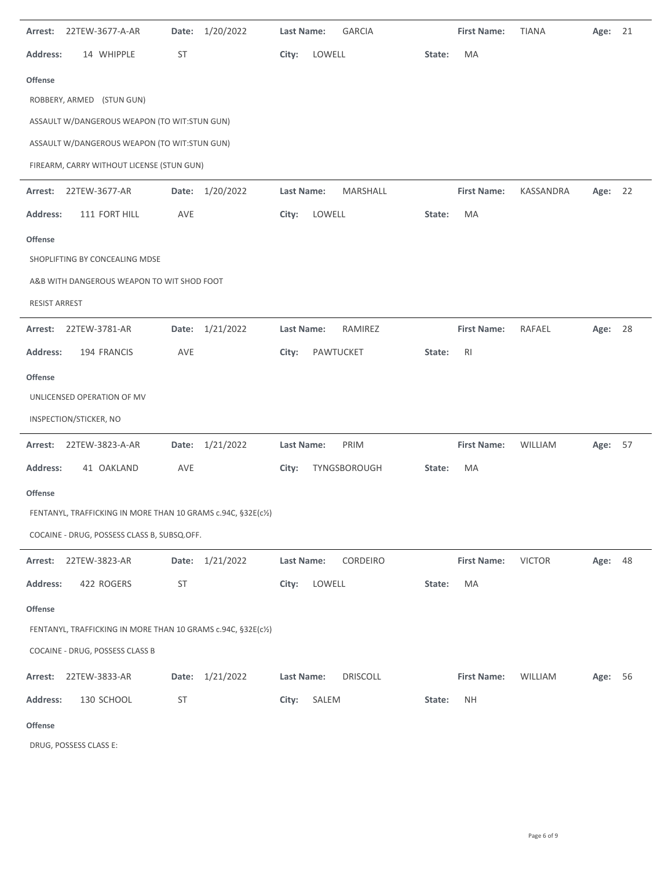| 22TEW-3677-A-AR<br>Arrest:                                    | 1/20/2022<br>Date: | <b>GARCIA</b><br><b>Last Name:</b> | <b>First Name:</b><br><b>TIANA</b><br>Age:     | 21 |
|---------------------------------------------------------------|--------------------|------------------------------------|------------------------------------------------|----|
| 14 WHIPPLE<br><b>Address:</b>                                 | ST                 | City:<br>LOWELL                    | MA<br>State:                                   |    |
| <b>Offense</b>                                                |                    |                                    |                                                |    |
| ROBBERY, ARMED (STUN GUN)                                     |                    |                                    |                                                |    |
| ASSAULT W/DANGEROUS WEAPON (TO WIT:STUN GUN)                  |                    |                                    |                                                |    |
| ASSAULT W/DANGEROUS WEAPON (TO WIT:STUN GUN)                  |                    |                                    |                                                |    |
| FIREARM, CARRY WITHOUT LICENSE (STUN GUN)                     |                    |                                    |                                                |    |
| 22TEW-3677-AR<br>Arrest:                                      | Date: 1/20/2022    | Last Name:<br>MARSHALL             | <b>First Name:</b><br>KASSANDRA<br>Age: 22     |    |
| <b>Address:</b><br>111 FORT HILL                              | AVE                | LOWELL<br>City:                    | MA<br>State:                                   |    |
| <b>Offense</b>                                                |                    |                                    |                                                |    |
| SHOPLIFTING BY CONCEALING MDSE                                |                    |                                    |                                                |    |
| A&B WITH DANGEROUS WEAPON TO WIT SHOD FOOT                    |                    |                                    |                                                |    |
| <b>RESIST ARREST</b>                                          |                    |                                    |                                                |    |
| Arrest:<br>22TEW-3781-AR                                      | Date: 1/21/2022    | Last Name:<br>RAMIREZ              | <b>First Name:</b><br>Age: 28<br>RAFAEL        |    |
| <b>Address:</b><br>194 FRANCIS                                | AVE                | City:<br>PAWTUCKET                 | State:<br><b>RI</b>                            |    |
| <b>Offense</b>                                                |                    |                                    |                                                |    |
| UNLICENSED OPERATION OF MV                                    |                    |                                    |                                                |    |
| INSPECTION/STICKER, NO                                        |                    |                                    |                                                |    |
| 22TEW-3823-A-AR<br>Arrest:                                    | Date: 1/21/2022    | PRIM<br>Last Name:                 | <b>First Name:</b><br>WILLIAM<br>Age: 57       |    |
| <b>Address:</b><br>41 OAKLAND                                 | AVE                | City:<br>TYNGSBOROUGH              | MA<br>State:                                   |    |
| <b>Offense</b>                                                |                    |                                    |                                                |    |
| FENTANYL, TRAFFICKING IN MORE THAN 10 GRAMS c.94C, §32E(c1/2) |                    |                                    |                                                |    |
| COCAINE - DRUG, POSSESS CLASS B, SUBSQ.OFF.                   |                    |                                    |                                                |    |
| Arrest: 22TEW-3823-AR                                         | Date: 1/21/2022    | Last Name:<br>CORDEIRO             | <b>First Name:</b><br><b>VICTOR</b><br>Age: 48 |    |
| <b>Address:</b><br>422 ROGERS                                 | ST                 | LOWELL<br>City:                    | MA<br>State:                                   |    |
| Offense                                                       |                    |                                    |                                                |    |
| FENTANYL, TRAFFICKING IN MORE THAN 10 GRAMS c.94C, §32E(c½)   |                    |                                    |                                                |    |
| COCAINE - DRUG, POSSESS CLASS B                               |                    |                                    |                                                |    |
| 22TEW-3833-AR<br>Arrest:                                      | Date: 1/21/2022    | <b>DRISCOLL</b><br>Last Name:      | <b>First Name:</b><br>WILLIAM<br>Age: 56       |    |
| <b>Address:</b><br>130 SCHOOL                                 | ST                 | SALEM<br>City:                     | <b>NH</b><br>State:                            |    |
| <b>Offense</b>                                                |                    |                                    |                                                |    |

DRUG, POSSESS CLASS E: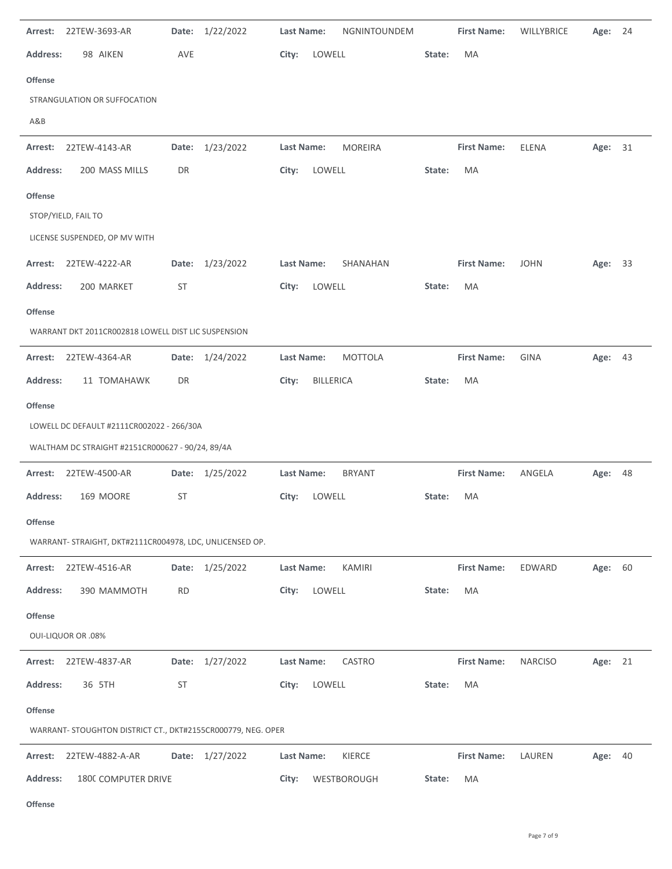| Arrest:                   | 22TEW-3693-AR                                                | Date:     | 1/22/2022       | Last Name:        |             | NGNINTOUNDEM   |        | <b>First Name:</b> | <b>WILLYBRICE</b> | Age:    | 24 |
|---------------------------|--------------------------------------------------------------|-----------|-----------------|-------------------|-------------|----------------|--------|--------------------|-------------------|---------|----|
| <b>Address:</b>           | 98 AIKEN                                                     | AVE       |                 | City:             | LOWELL      |                | State: | MA                 |                   |         |    |
| <b>Offense</b>            |                                                              |           |                 |                   |             |                |        |                    |                   |         |    |
|                           | STRANGULATION OR SUFFOCATION                                 |           |                 |                   |             |                |        |                    |                   |         |    |
| A&B                       |                                                              |           |                 |                   |             |                |        |                    |                   |         |    |
| Arrest:                   | 22TEW-4143-AR                                                | Date:     | 1/23/2022       | <b>Last Name:</b> |             | <b>MOREIRA</b> |        | <b>First Name:</b> | <b>ELENA</b>      | Age:    | 31 |
| <b>Address:</b>           | 200 MASS MILLS                                               | DR        |                 | City:             | LOWELL      |                | State: | MA                 |                   |         |    |
| <b>Offense</b>            |                                                              |           |                 |                   |             |                |        |                    |                   |         |    |
| STOP/YIELD, FAIL TO       |                                                              |           |                 |                   |             |                |        |                    |                   |         |    |
|                           | LICENSE SUSPENDED, OP MV WITH                                |           |                 |                   |             |                |        |                    |                   |         |    |
| Arrest:                   | 22TEW-4222-AR                                                | Date:     | 1/23/2022       | Last Name:        |             | SHANAHAN       |        | <b>First Name:</b> | <b>JOHN</b>       | Age: 33 |    |
| <b>Address:</b>           | 200 MARKET                                                   | <b>ST</b> |                 | City:             | LOWELL      |                | State: | MA                 |                   |         |    |
| <b>Offense</b>            |                                                              |           |                 |                   |             |                |        |                    |                   |         |    |
|                           | WARRANT DKT 2011CR002818 LOWELL DIST LIC SUSPENSION          |           |                 |                   |             |                |        |                    |                   |         |    |
| Arrest:                   | 22TEW-4364-AR                                                | Date:     | 1/24/2022       | Last Name:        |             | <b>MOTTOLA</b> |        | <b>First Name:</b> | <b>GINA</b>       | Age: 43 |    |
| <b>Address:</b>           | 11 TOMAHAWK                                                  | DR        |                 | City:             | BILLERICA   |                | State: | MA                 |                   |         |    |
| <b>Offense</b>            |                                                              |           |                 |                   |             |                |        |                    |                   |         |    |
|                           | LOWELL DC DEFAULT #2111CR002022 - 266/30A                    |           |                 |                   |             |                |        |                    |                   |         |    |
|                           | WALTHAM DC STRAIGHT #2151CR000627 - 90/24, 89/4A             |           |                 |                   |             |                |        |                    |                   |         |    |
| Arrest:                   | 22TEW-4500-AR                                                |           | Date: 1/25/2022 | Last Name:        |             | <b>BRYANT</b>  |        | <b>First Name:</b> | ANGELA            | Age:    | 48 |
| <b>Address:</b>           | 169 MOORE                                                    | <b>ST</b> |                 | City:             | LOWELL      |                | State: | MA                 |                   |         |    |
| <b>Offense</b>            |                                                              |           |                 |                   |             |                |        |                    |                   |         |    |
|                           | WARRANT- STRAIGHT, DKT#2111CR004978, LDC, UNLICENSED OP.     |           |                 |                   |             |                |        |                    |                   |         |    |
| Arrest:                   | 22TEW-4516-AR                                                |           | Date: 1/25/2022 | Last Name:        |             | <b>KAMIRI</b>  |        | <b>First Name:</b> | EDWARD            | Age: 60 |    |
| <b>Address:</b>           | 390 MAMMOTH                                                  | <b>RD</b> |                 | City:             | LOWELL      |                | State: | MA                 |                   |         |    |
| <b>Offense</b>            |                                                              |           |                 |                   |             |                |        |                    |                   |         |    |
| <b>OUI-LIQUOR OR .08%</b> |                                                              |           |                 |                   |             |                |        |                    |                   |         |    |
| Arrest:                   | 22TEW-4837-AR                                                |           | Date: 1/27/2022 | <b>Last Name:</b> |             | CASTRO         |        | <b>First Name:</b> | <b>NARCISO</b>    | Age: 21 |    |
| <b>Address:</b>           | 36 5TH                                                       | ST        |                 | City:             | LOWELL      |                | State: | MA                 |                   |         |    |
| <b>Offense</b>            |                                                              |           |                 |                   |             |                |        |                    |                   |         |    |
|                           | WARRANT- STOUGHTON DISTRICT CT., DKT#2155CR000779, NEG. OPER |           |                 |                   |             |                |        |                    |                   |         |    |
| Arrest:                   | 22TEW-4882-A-AR                                              | Date:     | 1/27/2022       | Last Name:        |             | KIERCE         |        | <b>First Name:</b> | LAUREN            | Age:    | 40 |
| <b>Address:</b>           | 1800 COMPUTER DRIVE                                          |           |                 | City:             | WESTBOROUGH |                | State: | MA                 |                   |         |    |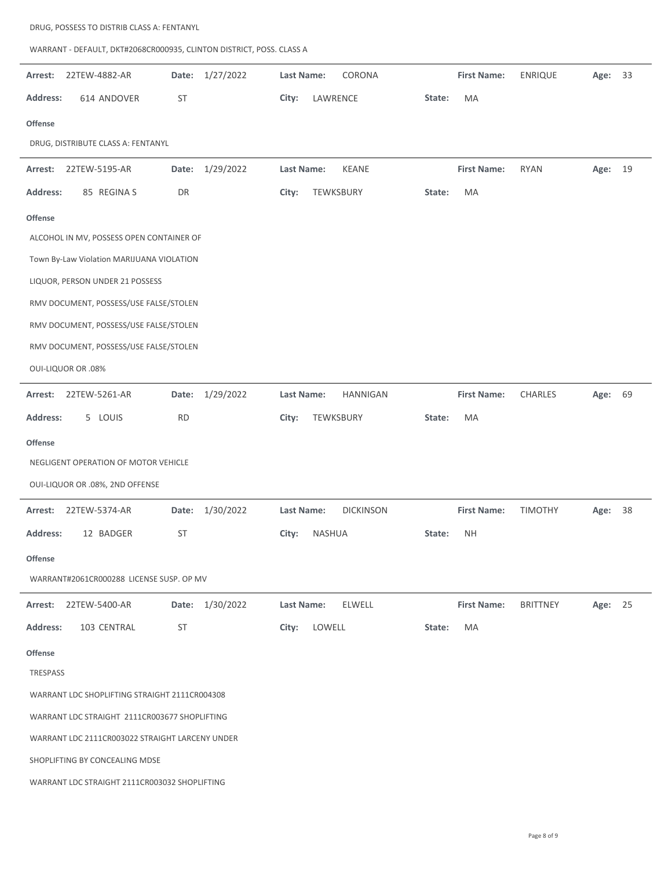| WARRANT - DEFAULT, DKT#2068CR000935, CLINTON DISTRICT, POSS. CLASS A |                 |                                |                    |                 |            |
|----------------------------------------------------------------------|-----------------|--------------------------------|--------------------|-----------------|------------|
| 22TEW-4882-AR<br>Arrest:                                             | Date: 1/27/2022 | CORONA<br>Last Name:           | <b>First Name:</b> | <b>ENRIQUE</b>  | 33<br>Age: |
| <b>Address:</b><br>614 ANDOVER                                       | ST              | City:<br>LAWRENCE              | State:<br>MA       |                 |            |
| <b>Offense</b>                                                       |                 |                                |                    |                 |            |
| DRUG, DISTRIBUTE CLASS A: FENTANYL                                   |                 |                                |                    |                 |            |
| Arrest:<br>22TEW-5195-AR                                             | Date: 1/29/2022 | <b>KEANE</b><br>Last Name:     | <b>First Name:</b> | <b>RYAN</b>     | Age: 19    |
| 85 REGINA S<br><b>Address:</b>                                       | DR              | City:<br>TEWKSBURY             | MA<br>State:       |                 |            |
| <b>Offense</b>                                                       |                 |                                |                    |                 |            |
| ALCOHOL IN MV, POSSESS OPEN CONTAINER OF                             |                 |                                |                    |                 |            |
| Town By-Law Violation MARIJUANA VIOLATION                            |                 |                                |                    |                 |            |
| LIQUOR, PERSON UNDER 21 POSSESS                                      |                 |                                |                    |                 |            |
| RMV DOCUMENT, POSSESS/USE FALSE/STOLEN                               |                 |                                |                    |                 |            |
| RMV DOCUMENT, POSSESS/USE FALSE/STOLEN                               |                 |                                |                    |                 |            |
| RMV DOCUMENT, POSSESS/USE FALSE/STOLEN                               |                 |                                |                    |                 |            |
| <b>OUI-LIQUOR OR .08%</b>                                            |                 |                                |                    |                 |            |
| Arrest:<br>22TEW-5261-AR                                             | Date: 1/29/2022 | <b>HANNIGAN</b><br>Last Name:  | <b>First Name:</b> | <b>CHARLES</b>  | Age: 69    |
| <b>Address:</b><br>5 LOUIS                                           | <b>RD</b>       | City:<br>TEWKSBURY             | MA<br>State:       |                 |            |
| <b>Offense</b>                                                       |                 |                                |                    |                 |            |
| NEGLIGENT OPERATION OF MOTOR VEHICLE                                 |                 |                                |                    |                 |            |
| OUI-LIQUOR OR .08%, 2ND OFFENSE                                      |                 |                                |                    |                 |            |
| 22TEW-5374-AR<br>Arrest:                                             | Date: 1/30/2022 | <b>DICKINSON</b><br>Last Name: | <b>First Name:</b> | <b>TIMOTHY</b>  | 38<br>Age: |
| Address:<br>12 BADGER                                                | ST              | City:<br>NASHUA                | State:<br>NΗ       |                 |            |
| <b>Offense</b>                                                       |                 |                                |                    |                 |            |
| WARRANT#2061CR000288 LICENSE SUSP. OP MV                             |                 |                                |                    |                 |            |
| 22TEW-5400-AR<br>Arrest:                                             | Date: 1/30/2022 | Last Name:<br><b>ELWELL</b>    | <b>First Name:</b> | <b>BRITTNEY</b> | Age: 25    |
| <b>Address:</b><br>103 CENTRAL                                       | ST              | LOWELL<br>City:                | MA<br>State:       |                 |            |
| <b>Offense</b>                                                       |                 |                                |                    |                 |            |
| TRESPASS                                                             |                 |                                |                    |                 |            |
| WARRANT LDC SHOPLIFTING STRAIGHT 2111CR004308                        |                 |                                |                    |                 |            |
| WARRANT LDC STRAIGHT 2111CR003677 SHOPLIFTING                        |                 |                                |                    |                 |            |
| WARRANT LDC 2111CR003022 STRAIGHT LARCENY UNDER                      |                 |                                |                    |                 |            |
| SHOPLIFTING BY CONCEALING MDSE                                       |                 |                                |                    |                 |            |
| WARRANT LDC STRAIGHT 2111CR003032 SHOPLIFTING                        |                 |                                |                    |                 |            |

DRUG, POSSESS TO DISTRIB CLASS A: FENTANYL